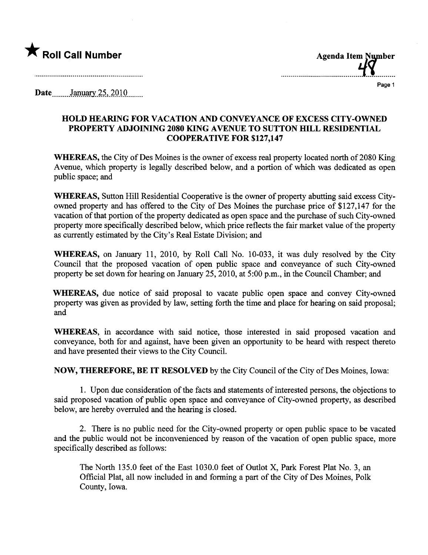

......................................~~............

Page 1

Date....... ..anl1.ar .is-.. 2Q-l Q.. \_ \_ \_ \_ \_.

## HOLD HEARING FOR VACATION AND CONVEYANCE OF EXCESS CITY-OWNED PROPERTY ADJOINING 2080 KING AVENUE TO SUTTON HILL RESIDENTIAL COOPERATIVE FOR \$127,147

WHEREAS, the City of Des Moines is the owner of excess real property located north of 2080 King Avenue, which property is legally described below, and a portion of which was dedicated as open public space; and

WHEREAS, Sutton Hill Residential Cooperative is the owner of property abutting said excess Cityowned property and has offered to the City of Des Moines the purchase price of \$127,147 for the vacation of that portion of the property dedicated as open space and the purchase of such City-owned property more specifically described below, which price reflects the fair market value of the property as curently estimated by the City's Real Estate Division; and

WHEREAS, on January 11, 2010, by Roll Call No.  $10-033$ , it was duly resolved by the City Council that the proposed vacation of open public space and conveyance of such City-owned property be set down for hearing on January 25, 2010, at 5:00 p.m., in the Council Chamber; and

WHEREAS, due notice of said proposal to vacate public open space and convey City-owned property was given as provided by law, setting forth the time and place for hearing on said proposal; and

WHEREAS, in accordance with said notice, those interested in said proposed vacation and conveyance, both for and against, have been given an opportunity to be heard with respect thereto and have presented their views to the City CounciL.

NOW, THEREFORE, BE IT RESOLVED by the City Council of the City of Des Moines, Iowa:

1. Upon due consideration of the facts and statements of interested persons, the objections to said proposed vacation of public open space and conveyance of City-owned property, as described below, are hereby overruled and the hearing is closed.

2. There is no public need for the City-owned property or open public space to be vacated and the public would not be inconvenienced by reason of the vacation of open public space, more specifically described as follows:

The North 135.0 feet of the East 1030.0 feet of Outlot X, Park Forest Plat No.3, an Official Plat, all now included in and forming a par of the City of Des Moines, Polk County, Iowa.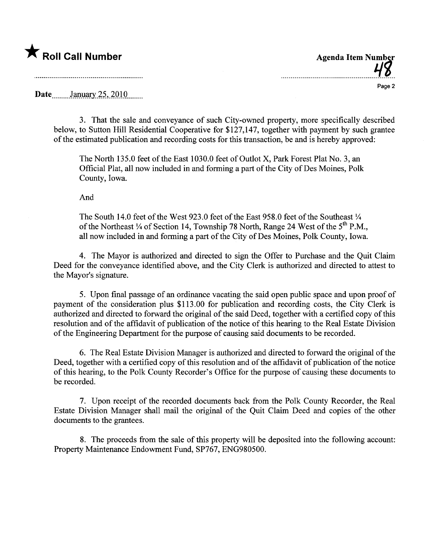

Page 2

Date....... Jan.lRry.is-,)QlQ......

and the contract of the contract of the contract of the contract of the contract of the contract of the contract of

3. That the sale and conveyance of such City-owned property, more specifically described below, to Sutton Hill Residential Cooperative for \$127,147, together with payment by such grantee of the estimated publication and recording costs for this transaction, be and is hereby approved:

The North 135.0 feet of the East 1030.0 feet of Outlot X, Park Forest Plat No.3, an Official Plat, all now included in and forming a part of the City of Des Moines, Polk County, Iowa.

And

The South 14.0 feet of the West 923.0 feet of the East 958.0 feet of the Southeast  $\frac{1}{4}$ of the Northeast  $\frac{1}{4}$  of Section 14, Township 78 North, Range 24 West of the  $5^{th}$  P.M., all now included in and forming a part of the City of Des Moines, Polk County, Iowa.

4. The Mayor is authorized and directed to sign the Offer to Purchase and the Quit Claim Deed for the conveyance identified above, and the City Clerk is authorized and directed to attest to the Mayor's signature.

5. Upon final passage of an ordinance vacating the said open public space and upon proof of payment of the consideration plus \$113.00 for publication and recording costs, the City Clerk is authorized and directed to forward the original of the said Deed, together with a certified copy of this resolution and of the affdavit of publication of the notice of this hearing to the Real Estate Division of the Engineering Department for the purose of causing said documents to be recorded.

6. The Real Estate Division Manager is authorized and directed to forward the original of the Deed, together with a certified copy of this resolution and of the affidavit of publication of the notice of this hearing, to the Polk County Recorder's Office for the purpose of causing these documents to be recorded.

7. Upon receipt of the recorded documents back from the Polk County Recorder, the Real Estate Division Manager shall mail the original of the Quit Claim Deed and copies of the other documents to the grantees.

8. The proceeds from the sale of this property wil be deposited into the following account: Property Maintenance Endowment Fund, SP767, ENG980500.